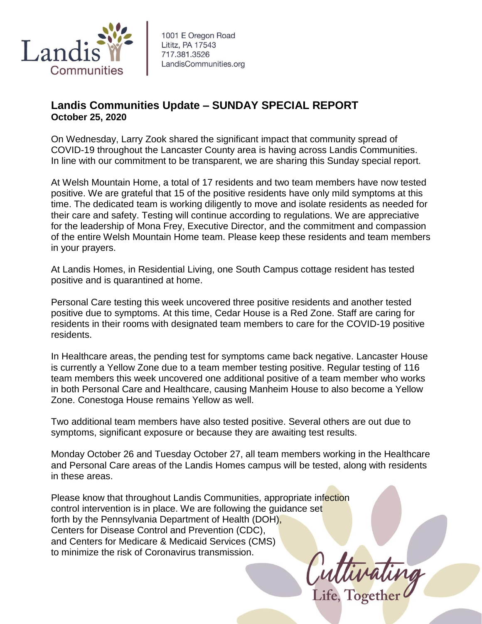

## **Landis Communities Update – SUNDAY SPECIAL REPORT October 25, 2020**

On Wednesday, Larry Zook shared the significant impact that community spread of COVID-19 throughout the Lancaster County area is having across Landis Communities. In line with our commitment to be transparent, we are sharing this Sunday special report.

At Welsh Mountain Home, a total of 17 residents and two team members have now tested positive. We are grateful that 15 of the positive residents have only mild symptoms at this time. The dedicated team is working diligently to move and isolate residents as needed for their care and safety. Testing will continue according to regulations. We are appreciative for the leadership of Mona Frey, Executive Director, and the commitment and compassion of the entire Welsh Mountain Home team. Please keep these residents and team members in your prayers.

At Landis Homes, in Residential Living, one South Campus cottage resident has tested positive and is quarantined at home.

Personal Care testing this week uncovered three positive residents and another tested positive due to symptoms. At this time, Cedar House is a Red Zone. Staff are caring for residents in their rooms with designated team members to care for the COVID-19 positive residents.

In Healthcare areas, the pending test for symptoms came back negative. Lancaster House is currently a Yellow Zone due to a team member testing positive. Regular testing of 116 team members this week uncovered one additional positive of a team member who works in both Personal Care and Healthcare, causing Manheim House to also become a Yellow Zone. Conestoga House remains Yellow as well.

Two additional team members have also tested positive. Several others are out due to symptoms, significant exposure or because they are awaiting test results.

Monday October 26 and Tuesday October 27, all team members working in the Healthcare and Personal Care areas of the Landis Homes campus will be tested, along with residents in these areas.

Please know that throughout Landis Communities, appropriate infection control intervention is in place. We are following the guidance set forth by the Pennsylvania Department of Health (DOH), Centers for Disease Control and Prevention (CDC), and Centers for Medicare & Medicaid Services (CMS) to minimize the risk of Coronavirus transmission.

Cuttivating